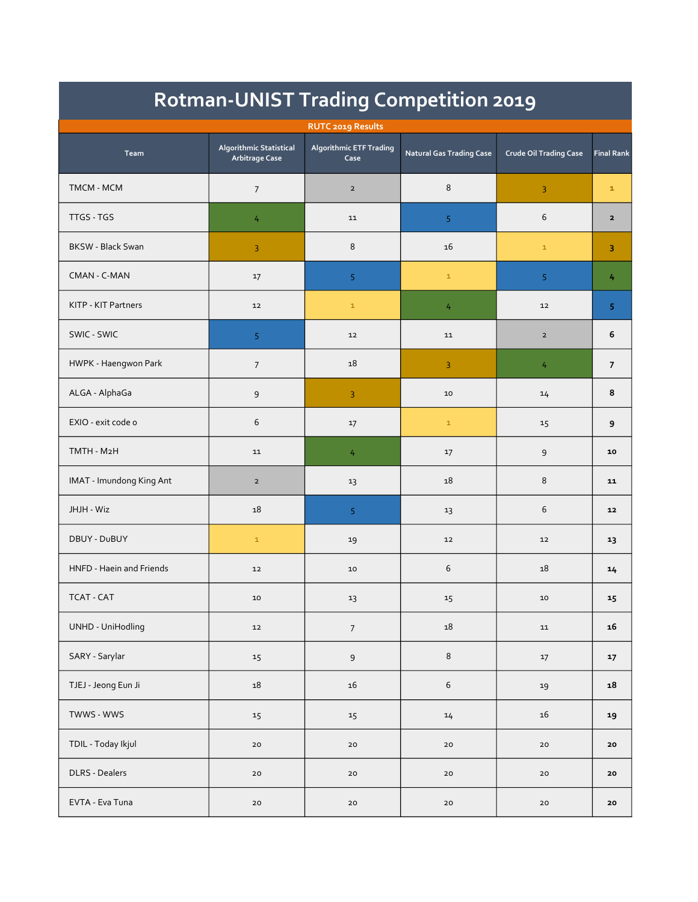| Rotman-UNIST Trading Competition 2019 |                                                  |                                        |                                 |                               |                   |  |  |  |  |  |
|---------------------------------------|--------------------------------------------------|----------------------------------------|---------------------------------|-------------------------------|-------------------|--|--|--|--|--|
| RUTC 2019 Results                     |                                                  |                                        |                                 |                               |                   |  |  |  |  |  |
| Team                                  | Algorithmic Statistical<br><b>Arbitrage Case</b> | <b>Algorithmic ETF Trading</b><br>Case | <b>Natural Gas Trading Case</b> | <b>Crude Oil Trading Case</b> | <b>Final Rank</b> |  |  |  |  |  |
| TMCM - MCM                            | $\overline{7}$                                   | $\overline{2}$                         | 8                               | 3                             | $\mathbf{1}$      |  |  |  |  |  |
| TTGS - TGS                            | 4                                                | $11\,$                                 | 5 <sup>1</sup>                  | 6                             | $\overline{2}$    |  |  |  |  |  |
| <b>BKSW - Black Swan</b>              | 3                                                | 8                                      | 16                              | $\mathbf 1$                   | 3                 |  |  |  |  |  |
| CMAN - C-MAN                          | 17                                               | 5                                      | $\mathbf 1$                     | 5                             | 4                 |  |  |  |  |  |
| KITP - KIT Partners                   | 12                                               | $\mathbf 1$                            | 4                               | 12                            | 5                 |  |  |  |  |  |
| SWIC - SWIC                           | $\overline{5}$                                   | 12                                     | 11                              | $\overline{2}$                | 6                 |  |  |  |  |  |
| HWPK - Haengwon Park                  | $\overline{7}$                                   | 18                                     | 3                               | 4                             | $\overline{7}$    |  |  |  |  |  |
| ALGA - AlphaGa                        | 9                                                | 3                                      | 10                              | 14                            | 8                 |  |  |  |  |  |
| EXIO - exit code o                    | 6                                                | 17                                     | $\mathbf 1$                     | 15                            | 9                 |  |  |  |  |  |
| TMTH - M2H                            | 11                                               | 4                                      | 17                              | 9                             | 10                |  |  |  |  |  |
| IMAT - Imundong King Ant              | $\overline{2}$                                   | 13                                     | 18                              | 8                             | 11                |  |  |  |  |  |
| JHJH - Wiz                            | 18                                               | 5                                      | 13                              | 6                             | 12                |  |  |  |  |  |
| DBUY - DuBUY                          | $\mathbf 1$                                      | 19                                     | 12                              | 12                            | 13                |  |  |  |  |  |
| HNFD - Haein and Friends              | 12                                               | 10                                     | 6                               | 18                            | 14                |  |  |  |  |  |
| TCAT - CAT                            | $10\,$                                           | $13\,$                                 | $15\,$                          | $10\,$                        | $\bf 15$          |  |  |  |  |  |
| UNHD - UniHodling                     | 12                                               | $\boldsymbol{7}$                       | $\mathbf{18}$                   | ${\bf 11}$                    | 16                |  |  |  |  |  |
| SARY - Sarylar                        | 15                                               | $\mathsf 9$                            | $\,8\,$                         | 17                            | 17                |  |  |  |  |  |
| TJEJ - Jeong Eun Ji                   | 18                                               | 16                                     | $\sqrt{6}$                      | 19                            | 18                |  |  |  |  |  |
| TWWS - WWS                            | 15                                               | 15                                     | 14                              | 16                            | 19                |  |  |  |  |  |
| TDIL - Today Ikjul                    | $20\,$                                           | $20\,$                                 | 20                              | $20\,$                        | 20                |  |  |  |  |  |
| <b>DLRS</b> - Dealers                 | $20\,$                                           | $20\,$                                 | $20\,$                          | $20\,$                        | 20                |  |  |  |  |  |
| EVTA - Eva Tuna                       | 20                                               | $20\,$                                 | $20$                            | $20\,$                        | 20                |  |  |  |  |  |